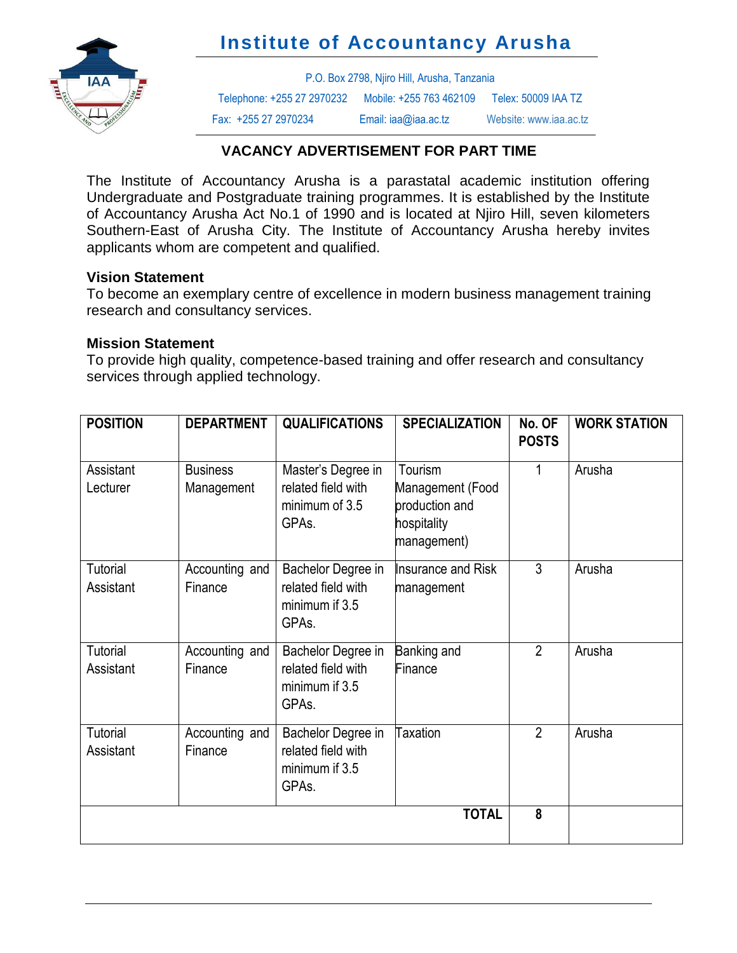



P.O. Box 2798, Njiro Hill, Arusha, Tanzania Telephone: +255 27 2970232 Mobile: +255 763 462109 Telex: 50009 IAA TZ Fax: +255 27 2970234 Email: iaa@iaa.ac.tz Website[: www.iaa.ac.tz](http://www.iaa.ac.tz/)

## **VACANCY ADVERTISEMENT FOR PART TIME**

The Institute of Accountancy Arusha is a parastatal academic institution offering Undergraduate and Postgraduate training programmes. It is established by the Institute of Accountancy Arusha Act No.1 of 1990 and is located at Njiro Hill, seven kilometers Southern-East of Arusha City. The Institute of Accountancy Arusha hereby invites applicants whom are competent and qualified.

### **Vision Statement**

To become an exemplary centre of excellence in modern business management training research and consultancy services.

#### **Mission Statement**

To provide high quality, competence-based training and offer research and consultancy services through applied technology.

| <b>POSITION</b>              | <b>DEPARTMENT</b>             | <b>QUALIFICATIONS</b>                                                            | <b>SPECIALIZATION</b>                                                       | No. OF<br><b>POSTS</b> | <b>WORK STATION</b> |
|------------------------------|-------------------------------|----------------------------------------------------------------------------------|-----------------------------------------------------------------------------|------------------------|---------------------|
| Assistant<br>Lecturer        | <b>Business</b><br>Management | Master's Degree in<br>related field with<br>minimum of 3.5<br>GPAs.              | Tourism<br>Management (Food<br>production and<br>hospitality<br>management) |                        | Arusha              |
| Tutorial<br>Assistant        | Accounting and<br>Finance     | Bachelor Degree in<br>related field with<br>minimum if 3.5<br>GPA <sub>s</sub> . | Insurance and Risk<br>management                                            | $\overline{3}$         | Arusha              |
| <b>Tutorial</b><br>Assistant | Accounting and<br>Finance     | Bachelor Degree in<br>related field with<br>minimum if 3.5<br>GPA <sub>s</sub> . | Banking and<br>Finance                                                      | $\overline{2}$         | Arusha              |
| Tutorial<br>Assistant        | Accounting and<br>Finance     | Bachelor Degree in<br>related field with<br>minimum if 3.5<br>GPAs.              | <b>Taxation</b>                                                             | $\overline{2}$         | Arusha              |
| <b>TOTAL</b>                 |                               |                                                                                  |                                                                             | 8                      |                     |